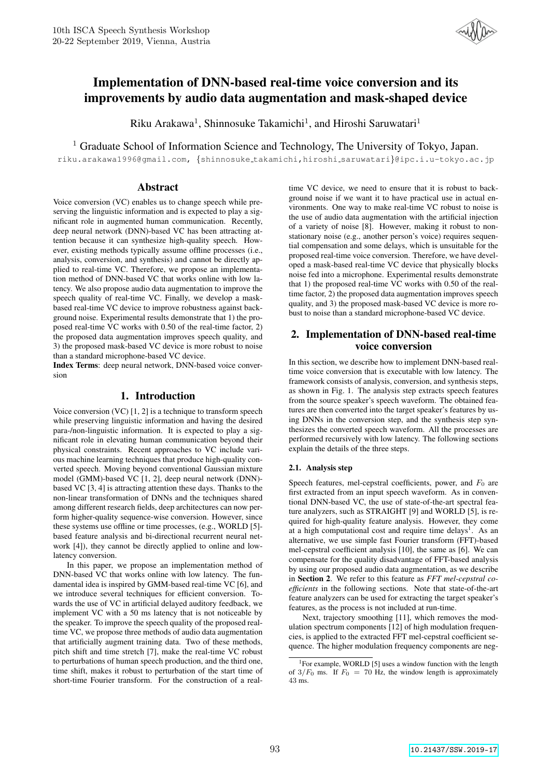

# Implementation of DNN-based real-time voice conversion and its improvements by audio data augmentation and mask-shaped device

Riku Arakawa<sup>1</sup>, Shinnosuke Takamichi<sup>1</sup>, and Hiroshi Saruwatari<sup>1</sup>

<sup>1</sup> Graduate School of Information Science and Technology, The University of Tokyo, Japan.

riku.arakawa1996@gmail.com, {shinnosuke takamichi,hiroshi saruwatari}@ipc.i.u-tokyo.ac.jp

# Abstract

Voice conversion (VC) enables us to change speech while preserving the linguistic information and is expected to play a significant role in augmented human communication. Recently, deep neural network (DNN)-based VC has been attracting attention because it can synthesize high-quality speech. However, existing methods typically assume offline processes (i.e., analysis, conversion, and synthesis) and cannot be directly applied to real-time VC. Therefore, we propose an implementation method of DNN-based VC that works online with low latency. We also propose audio data augmentation to improve the speech quality of real-time VC. Finally, we develop a maskbased real-time VC device to improve robustness against background noise. Experimental results demonstrate that 1) the proposed real-time VC works with 0.50 of the real-time factor, 2) the proposed data augmentation improves speech quality, and 3) the proposed mask-based VC device is more robust to noise than a standard microphone-based VC device.

Index Terms: deep neural network, DNN-based voice conversion

# 1. Introduction

Voice conversion (VC) [1, 2] is a technique to transform speech while preserving linguistic information and having the desired para-/non-linguistic information. It is expected to play a significant role in elevating human communication beyond their physical constraints. Recent approaches to VC include various machine learning techniques that produce high-quality converted speech. Moving beyond conventional Gaussian mixture model (GMM)-based VC [1, 2], deep neural network (DNN) based VC [3, 4] is attracting attention these days. Thanks to the non-linear transformation of DNNs and the techniques shared among different research fields, deep architectures can now perform higher-quality sequence-wise conversion. However, since these systems use offline or time processes, (e.g., WORLD [5] based feature analysis and bi-directional recurrent neural network [4]), they cannot be directly applied to online and lowlatency conversion.

In this paper, we propose an implementation method of DNN-based VC that works online with low latency. The fundamental idea is inspired by GMM-based real-time VC [6], and we introduce several techniques for efficient conversion. Towards the use of VC in artificial delayed auditory feedback, we implement VC with a 50 ms latency that is not noticeable by the speaker. To improve the speech quality of the proposed realtime VC, we propose three methods of audio data augmentation that artificially augment training data. Two of these methods, pitch shift and time stretch [7], make the real-time VC robust to perturbations of human speech production, and the third one, time shift, makes it robust to perturbation of the start time of short-time Fourier transform. For the construction of a realtime VC device, we need to ensure that it is robust to background noise if we want it to have practical use in actual environments. One way to make real-time VC robust to noise is the use of audio data augmentation with the artificial injection of a variety of noise [8]. However, making it robust to nonstationary noise (e.g., another person's voice) requires sequential compensation and some delays, which is unsuitable for the proposed real-time voice conversion. Therefore, we have developed a mask-based real-time VC device that physically blocks noise fed into a microphone. Experimental results demonstrate that 1) the proposed real-time VC works with 0.50 of the realtime factor, 2) the proposed data augmentation improves speech quality, and 3) the proposed mask-based VC device is more robust to noise than a standard microphone-based VC device.

# 2. Implementation of DNN-based real-time voice conversion

In this section, we describe how to implement DNN-based realtime voice conversion that is executable with low latency. The framework consists of analysis, conversion, and synthesis steps, as shown in Fig. 1. The analysis step extracts speech features from the source speaker's speech waveform. The obtained features are then converted into the target speaker's features by using DNNs in the conversion step, and the synthesis step synthesizes the converted speech waveform. All the processes are performed recursively with low latency. The following sections explain the details of the three steps.

### 2.1. Analysis step

Speech features, mel-cepstral coefficients, power, and  $F_0$  are first extracted from an input speech waveform. As in conventional DNN-based VC, the use of state-of-the-art spectral feature analyzers, such as STRAIGHT [9] and WORLD [5], is required for high-quality feature analysis. However, they come at a high computational cost and require time delays<sup>1</sup>. As an alternative, we use simple fast Fourier transform (FFT)-based mel-cepstral coefficient analysis [10], the same as [6]. We can compensate for the quality disadvantage of FFT-based analysis by using our proposed audio data augmentation, as we describe in Section 2. We refer to this feature as *FFT mel-cepstral coefficients* in the following sections. Note that state-of-the-art feature analyzers can be used for extracting the target speaker's features, as the process is not included at run-time.

Next, trajectory smoothing [11], which removes the modulation spectrum components [12] of high modulation frequencies, is applied to the extracted FFT mel-cepstral coefficient sequence. The higher modulation frequency components are neg-

<sup>&</sup>lt;sup>1</sup>For example, WORLD [5] uses a window function with the length of  $3/F_0$  ms. If  $F_0 = 70$  Hz, the window length is approximately 43 ms.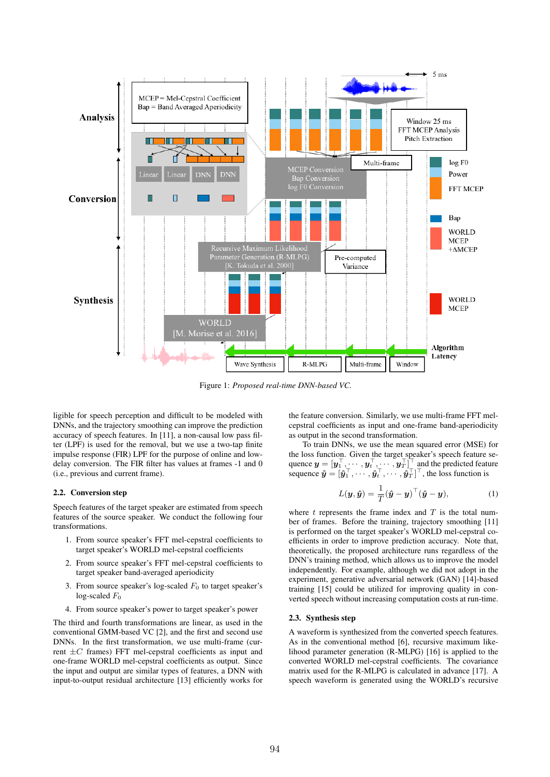

Figure 1: *Proposed real-time DNN-based VC.*

ligible for speech perception and difficult to be modeled with DNNs, and the trajectory smoothing can improve the prediction accuracy of speech features. In [11], a non-causal low pass filter (LPF) is used for the removal, but we use a two-tap finite impulse response (FIR) LPF for the purpose of online and lowdelay conversion. The FIR filter has values at frames -1 and 0 (i.e., previous and current frame).

### 2.2. Conversion step

Speech features of the target speaker are estimated from speech features of the source speaker. We conduct the following four transformations.

- 1. From source speaker's FFT mel-cepstral coefficients to target speaker's WORLD mel-cepstral coefficients
- 2. From source speaker's FFT mel-cepstral coefficients to target speaker band-averaged aperiodicity
- 3. From source speaker's log-scaled  $F_0$  to target speaker's log-scaled  $F_0$
- 4. From source speaker's power to target speaker's power

The third and fourth transformations are linear, as used in the conventional GMM-based VC [2], and the first and second use DNNs. In the first transformation, we use multi-frame (current  $\pm C$  frames) FFT mel-cepstral coefficients as input and one-frame WORLD mel-cepstral coefficients as output. Since the input and output are similar types of features, a DNN with input-to-output residual architecture [13] efficiently works for the feature conversion. Similarly, we use multi-frame FFT melcepstral coefficients as input and one-frame band-aperiodicity as output in the second transformation.

To train DNNs, we use the mean squared error (MSE) for the loss function. Given the target speaker's speech feature sequence  $y = [y_1^{\perp}, \cdots, y_t^{\perp}, \cdots, y_T^{\perp}]$  and the predicted feature sequence  $\hat{\bm{y}} = [\hat{\bm{y}}_1^\top, \cdots, \hat{\bm{y}}_t^\top, \cdots, \hat{\bm{y}}_T^\top]^\top$ , the loss function is

$$
L(\boldsymbol{y}, \hat{\boldsymbol{y}}) = \frac{1}{T} (\hat{\boldsymbol{y}} - \boldsymbol{y})^{\top} (\hat{\boldsymbol{y}} - \boldsymbol{y}), \tag{1}
$$

where  $t$  represents the frame index and  $T$  is the total number of frames. Before the training, trajectory smoothing [11] is performed on the target speaker's WORLD mel-cepstral coefficients in order to improve prediction accuracy. Note that, theoretically, the proposed architecture runs regardless of the DNN's training method, which allows us to improve the model independently. For example, although we did not adopt in the experiment, generative adversarial network (GAN) [14]-based training [15] could be utilized for improving quality in converted speech without increasing computation costs at run-time.

### 2.3. Synthesis step

A waveform is synthesized from the converted speech features. As in the conventional method [6], recursive maximum likelihood parameter generation (R-MLPG) [16] is applied to the converted WORLD mel-cepstral coefficients. The covariance matrix used for the R-MLPG is calculated in advance [17]. A speech waveform is generated using the WORLD's recursive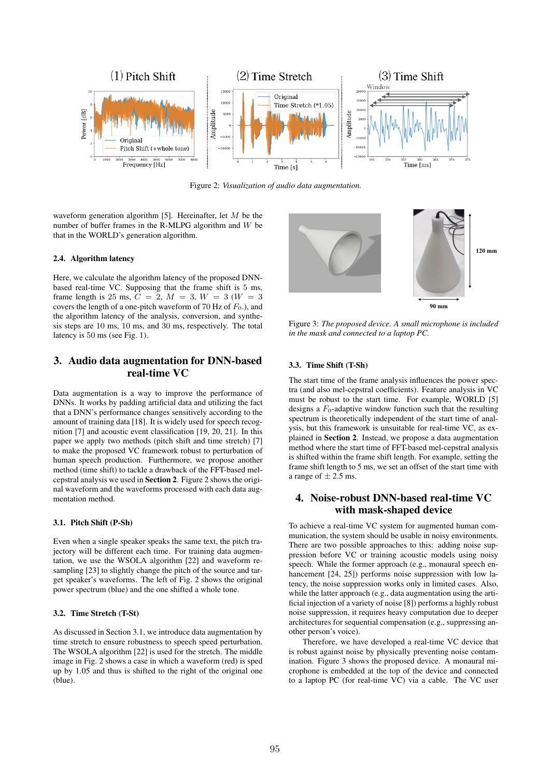

Figure 2: *Visualization of audio data augmentation.*

waveform generation algorithm [5]. Hereinafter, let  $M$  be the number of buffer frames in the R-MLPG algorithm and W be that in the WORLD's generation algorithm.

### 2.4. Algorithm latency

Here, we calculate the algorithm latency of the proposed DNNbased real-time VC. Supposing that the frame shift is 5 ms, frame length is 25 ms,  $C = 2$ ,  $M = 3$ ,  $W = 3$  ( $W = 3$ ) covers the length of a one-pitch waveform of 70 Hz of  $F_0$ .), and the algorithm latency of the analysis, conversion, and synthesis steps are 10 ms, 10 ms, and 30 ms, respectively. The total latency is 50 ms (see Fig. 1).

# 3. Audio data augmentation for DNN-based real-time VC

Data augmentation is a way to improve the performance of DNNs. It works by padding artificial data and utilizing the fact that a DNN's performance changes sensitively according to the amount of training data [18]. It is widely used for speech recognition [7] and acoustic event classification [19, 20, 21]. In this paper we apply two methods (pitch shift and time stretch) [7] to make the proposed VC framework robust to perturbation of human speech production. Furthermore, we propose another method (time shift) to tackle a drawback of the FFT-based melcepstral analysis we used in Section 2. Figure 2 shows the original waveform and the waveforms processed with each data augmentation method.

#### 3.1. Pitch Shift (P-Sh)

Even when a single speaker speaks the same text, the pitch trajectory will be different each time. For training data augmentation, we use the WSOLA algorithm [22] and waveform resampling [23] to slightly change the pitch of the source and target speaker's waveforms. The left of Fig. 2 shows the original power spectrum (blue) and the one shifted a whole tone.

### 3.2. Time Stretch (T-St)

As discussed in Section 3.1, we introduce data augmentation by time stretch to ensure robustness to speech speed perturbation. The WSOLA algorithm [22] is used for the stretch. The middle image in Fig. 2 shows a case in which a waveform (red) is sped up by 1.05 and thus is shifted to the right of the original one (blue).



Figure 3: *The proposed device. A small microphone is included in the mask and connected to a laptop PC.*

### 3.3. Time Shift (T-Sh)

The start time of the frame analysis influences the power spectra (and also mel-cepstral coefficients). Feature analysis in VC must be robust to the start time. For example, WORLD [5] designs a  $F_0$ -adaptive window function such that the resulting spectrum is theoretically independent of the start time of analysis, but this framework is unsuitable for real-time VC, as explained in Section 2. Instead, we propose a data augmentation method where the start time of FFT-based mel-cepstral analysis is shifted within the frame shift length. For example, setting the frame shift length to 5 ms, we set an offset of the start time with a range of  $\pm$  2.5 ms.

# 4. Noise-robust DNN-based real-time VC with mask-shaped device

To achieve a real-time VC system for augmented human communication, the system should be usable in noisy environments. There are two possible approaches to this: adding noise suppression before VC or training acoustic models using noisy speech. While the former approach (e.g., monaural speech enhancement [24, 25]) performs noise suppression with low latency, the noise suppression works only in limited cases. Also, while the latter approach (e.g., data augmentation using the artificial injection of a variety of noise [8]) performs a highly robust noise suppression, it requires heavy computation due to deeper architectures for sequential compensation (e.g., suppressing another person's voice).

Therefore, we have developed a real-time VC device that is robust against noise by physically preventing noise contamination. Figure 3 shows the proposed device. A monaural microphone is embedded at the top of the device and connected to a laptop PC (for real-time VC) via a cable. The VC user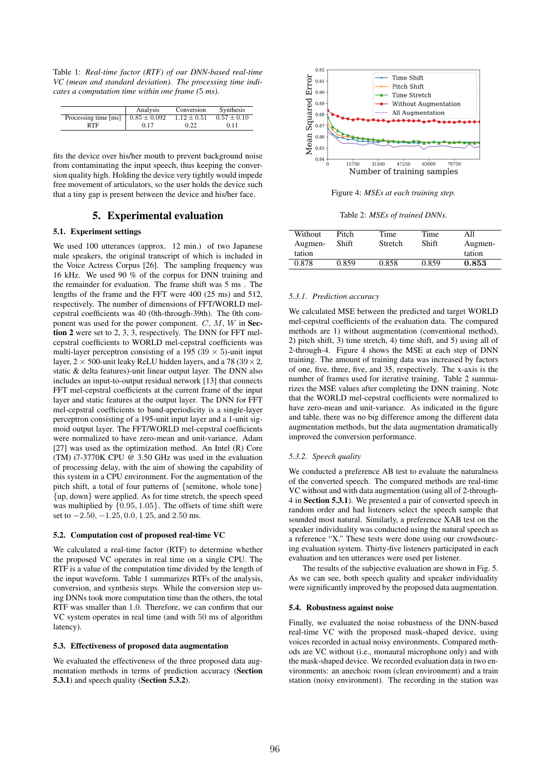Table 1: *Real-time factor (RTF) of our DNN-based real-time VC (mean and standard deviation). The processing time indicates a computation time within one frame (*5 *ms).*

|                      | Analysis         | Conversion      | <b>Synthesis</b> |
|----------------------|------------------|-----------------|------------------|
| Processing time [ms] | $0.85 \pm 0.092$ | $1.12 \pm 0.51$ | $0.57 \pm 0.10$  |
| RTF                  | 0.17             | 0.22            | 0.11             |

fits the device over his/her mouth to prevent background noise from contaminating the input speech, thus keeping the conversion quality high. Holding the device very tightly would impede free movement of articulators, so the user holds the device such that a tiny gap is present between the device and his/her face.

# 5. Experimental evaluation

### 5.1. Experiment settings

We used 100 utterances (approx. 12 min.) of two Japanese male speakers, the original transcript of which is included in the Voice Actress Corpus [26]. The sampling frequency was 16 kHz. We used 90 % of the corpus for DNN training and the remainder for evaluation. The frame shift was 5 ms . The lengths of the frame and the FFT were 400 (25 ms) and 512, respectively. The number of dimensions of FFT/WORLD melcepstral coefficients was 40 (0th-through-39th). The 0th component was used for the power component.  $C, M, W$  in Section 2 were set to 2, 3, 3, respectively. The DNN for FFT melcepstral coefficients to WORLD mel-cepstral coefficients was multi-layer perceptron consisting of a 195 (39  $\times$  5)-unit input layer,  $2 \times 500$ -unit leaky ReLU hidden layers, and a 78 (39  $\times$  2, static & delta features)-unit linear output layer. The DNN also includes an input-to-output residual network [13] that connects FFT mel-cepstral coefficients at the current frame of the input layer and static features at the output layer. The DNN for FFT mel-cepstral coefficients to band-aperiodicity is a single-layer perceptron consisting of a 195-unit input layer and a 1-unit sigmoid output layer. The FFT/WORLD mel-cepstral coefficients were normalized to have zero-mean and unit-variance. Adam [27] was used as the optimization method. An Intel (R) Core (TM) i7-3770K CPU @ 3.50 GHz was used in the evaluation of processing delay, with the aim of showing the capability of this system in a CPU environment. For the augmentation of the pitch shift, a total of four patterns of {semitone, whole tone} {up, down} were applied. As for time stretch, the speech speed was multiplied by {0.95, 1.05}. The offsets of time shift were set to  $-2.50, -1.25, 0.0, 1.25,$  and 2.50 ms.

#### 5.2. Computation cost of proposed real-time VC

We calculated a real-time factor (RTF) to determine whether the proposed VC operates in real time on a single CPU. The RTF is a value of the computation time divided by the length of the input waveform. Table 1 summarizes RTFs of the analysis, conversion, and synthesis steps. While the conversion step using DNNs took more computation time than the others, the total RTF was smaller than 1.0. Therefore, we can confirm that our VC system operates in real time (and with 50 ms of algorithm latency).

#### 5.3. Effectiveness of proposed data augmentation

We evaluated the effectiveness of the three proposed data augmentation methods in terms of prediction accuracy (Section 5.3.1) and speech quality (Section 5.3.2).



Figure 4: *MSEs at each training step.*

Table 2: *MSEs of trained DNNs.*

| Without<br>Augmen-<br>tation | Pitch<br>Shift | Time<br><b>Stretch</b> | Time<br>Shift | All<br>Augmen-<br>tation |
|------------------------------|----------------|------------------------|---------------|--------------------------|
| 0.878                        | 0.859          | 0.858                  | 0.859         | 0.853                    |
|                              |                |                        |               |                          |

#### *5.3.1. Prediction accuracy*

We calculated MSE between the predicted and target WORLD mel-cepstral coefficients of the evaluation data. The compared methods are 1) without augmentation (conventional method), 2) pitch shift, 3) time stretch, 4) time shift, and 5) using all of 2-through-4. Figure 4 shows the MSE at each step of DNN training. The amount of training data was increased by factors of one, five, three, five, and 35, respectively. The x-axis is the number of frames used for iterative training. Table 2 summarizes the MSE values after completing the DNN training. Note that the WORLD mel-cepstral coefficients were normalized to have zero-mean and unit-variance. As indicated in the figure and table, there was no big difference among the different data augmentation methods, but the data augmentation dramatically improved the conversion performance.

#### *5.3.2. Speech quality*

We conducted a preference AB test to evaluate the naturalness of the converted speech. The compared methods are real-time VC without and with data augmentation (using all of 2-through-4 in Section 5.3.1). We presented a pair of converted speech in random order and had listeners select the speech sample that sounded most natural. Similarly, a preference XAB test on the speaker individuality was conducted using the natural speech as a reference "X." These tests were done using our crowdsourcing evaluation system. Thirty-five listeners participated in each evaluation and ten utterances were used per listener.

The results of the subjective evaluation are shown in Fig. 5. As we can see, both speech quality and speaker individuality were significantly improved by the proposed data augmentation.

#### 5.4. Robustness against noise

Finally, we evaluated the noise robustness of the DNN-based real-time VC with the proposed mask-shaped device, using voices recorded in actual noisy environments. Compared methods are VC without (i.e., monaural microphone only) and with the mask-shaped device. We recorded evaluation data in two environments: an anechoic room (clean environment) and a train station (noisy environment). The recording in the station was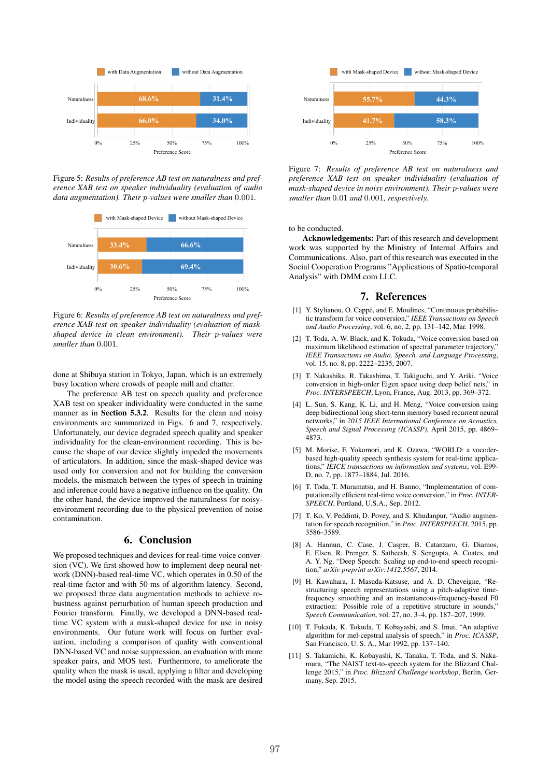

Figure 5: *Results of preference AB test on naturalness and preference XAB test on speaker individuality (evaluation of audio data augmentation). Their* p*-values were smaller than* 0.001*.*



Figure 6: *Results of preference AB test on naturalness and preference XAB test on speaker individuality (evaluation of maskshaped device in clean environment). Their* p*-values were smaller than* 0.001*.*

done at Shibuya station in Tokyo, Japan, which is an extremely busy location where crowds of people mill and chatter.

The preference AB test on speech quality and preference XAB test on speaker individuality were conducted in the same manner as in Section 5.3.2. Results for the clean and noisy environments are summarized in Figs. 6 and 7, respectively. Unfortunately, our device degraded speech quality and speaker individuality for the clean-environment recording. This is because the shape of our device slightly impeded the movements of articulators. In addition, since the mask-shaped device was used only for conversion and not for building the conversion models, the mismatch between the types of speech in training and inference could have a negative influence on the quality. On the other hand, the device improved the naturalness for noisyenvironment recording due to the physical prevention of noise contamination.

## 6. Conclusion

We proposed techniques and devices for real-time voice conversion (VC). We first showed how to implement deep neural network (DNN)-based real-time VC, which operates in 0.50 of the real-time factor and with 50 ms of algorithm latency. Second, we proposed three data augmentation methods to achieve robustness against perturbation of human speech production and Fourier transform. Finally, we developed a DNN-based realtime VC system with a mask-shaped device for use in noisy environments. Our future work will focus on further evaluation, including a comparison of quality with conventional DNN-based VC and noise suppression, an evaluation with more speaker pairs, and MOS test. Furthermore, to ameliorate the quality when the mask is used, applying a filter and developing the model using the speech recorded with the mask are desired



Figure 7: *Results of preference AB test on naturalness and preference XAB test on speaker individuality (evaluation of mask-shaped device in noisy environment). Their* p*-values were smaller than* 0.01 *and* 0.001*, respectively.*

to be conducted.

Acknowledgements: Part of this research and development work was supported by the Ministry of Internal Affairs and Communications. Also, part of this research was executed in the Social Cooperation Programs "Applications of Spatio-temporal Analysis" with DMM.com LLC.

## 7. References

- [1] Y. Stylianou, O. Cappé, and E. Moulines, "Continuous probabilistic transform for voice conversion," *IEEE Transactions on Speech and Audio Processing*, vol. 6, no. 2, pp. 131–142, Mar. 1998.
- [2] T. Toda, A. W. Black, and K. Tokuda, "Voice conversion based on maximum likelihood estimation of spectral parameter trajectory,' *IEEE Transactions on Audio, Speech, and Language Processing*, vol. 15, no. 8, pp. 2222–2235, 2007.
- [3] T. Nakashika, R. Takashima, T. Takiguchi, and Y. Ariki, "Voice conversion in high-order Eigen space using deep belief nets," in *Proc. INTERSPEECH*, Lyon, France, Aug. 2013, pp. 369–372.
- [4] L. Sun, S. Kang, K. Li, and H. Meng, "Voice conversion using deep bidirectional long short-term memory based recurrent neural networks," in *2015 IEEE International Conference on Acoustics, Speech and Signal Processing (ICASSP)*, April 2015, pp. 4869– 4873.
- [5] M. Morise, F. Yokomori, and K. Ozawa, "WORLD: a vocoderbased high-quality speech synthesis system for real-time applications," *IEICE transactions on information and systems*, vol. E99- D, no. 7, pp. 1877–1884, Jul. 2016.
- [6] T. Toda, T. Muramatsu, and H. Banno, "Implementation of computationally efficient real-time voice conversion," in *Proc. INTER-SPEECH*, Portland, U.S.A., Sep. 2012.
- [7] T. Ko, V. Peddinti, D. Povey, and S. Khudanpur, "Audio augmentation for speech recognition," in *Proc. INTERSPEECH*, 2015, pp. 3586–3589.
- [8] A. Hannun, C. Case, J. Casper, B. Catanzaro, G. Diamos, E. Elsen, R. Prenger, S. Satheesh, S. Sengupta, A. Coates, and A. Y. Ng, "Deep Speech: Scaling up end-to-end speech recognition," *arXiv preprint arXiv:1412.5567*, 2014.
- [9] H. Kawahara, I. Masuda-Katsuse, and A. D. Cheveigne, "Restructuring speech representations using a pitch-adaptive timefrequency smoothing and an instantaneous-frequency-based F0 extraction: Possible role of a repetitive structure in sounds," *Speech Communication*, vol. 27, no. 3–4, pp. 187–207, 1999.
- [10] T. Fukada, K. Tokuda, T. Kobayashi, and S. Imai, "An adaptive algorithm for mel-cepstral analysis of speech," in *Proc. ICASSP*, San Francisco, U. S. A., Mar 1992, pp. 137–140.
- [11] S. Takamichi, K. Kobayashi, K. Tanaka, T. Toda, and S. Nakamura, "The NAIST text-to-speech system for the Blizzard Challenge 2015," in *Proc. Blizzard Challenge workshop*, Berlin, Germany, Sep. 2015.